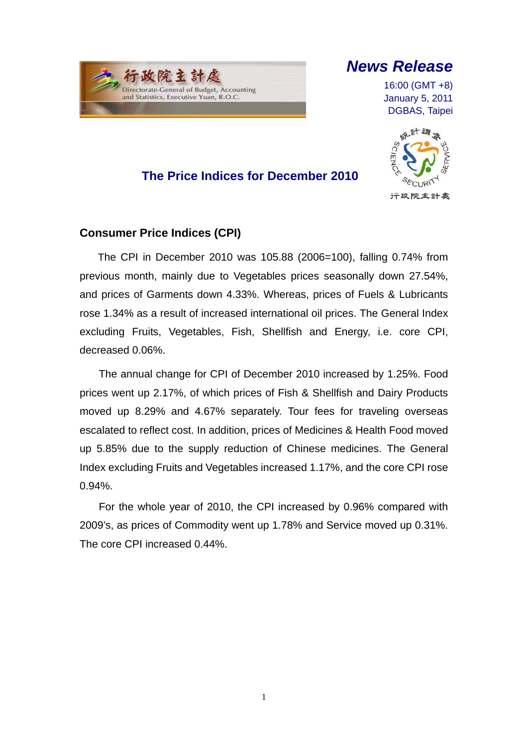# *News Release*

16:00 (GMT +8) January 5, 2011 DGBAS, Taipei

## **The Price Indices for December 2010**



### **Consumer Price Indices (CPI)**

行政院主计原

Directorate-General of Budget, Accounting and Statistics, Executive Yuan, R.O.C.

 $\overline{a}$ 

The CPI in December 2010 was 105.88 (2006=100), falling 0.74% from previous month, mainly due to Vegetables prices seasonally down 27.54%, and prices of Garments down 4.33%. Whereas, prices of Fuels & Lubricants rose 1.34% as a result of increased international oil prices. The General Index excluding Fruits, Vegetables, Fish, Shellfish and Energy, i.e. core CPI, decreased 0.06%.

The annual change for CPI of December 2010 increased by 1.25%. Food prices went up 2.17%, of which prices of Fish & Shellfish and Dairy Products moved up 8.29% and 4.67% separately. Tour fees for traveling overseas escalated to reflect cost. In addition, prices of Medicines & Health Food moved up 5.85% due to the supply reduction of Chinese medicines. The General Index excluding Fruits and Vegetables increased 1.17%, and the core CPI rose 0.94%.

For the whole year of 2010, the CPI increased by 0.96% compared with 2009's, as prices of Commodity went up 1.78% and Service moved up 0.31%. The core CPI increased 0.44%.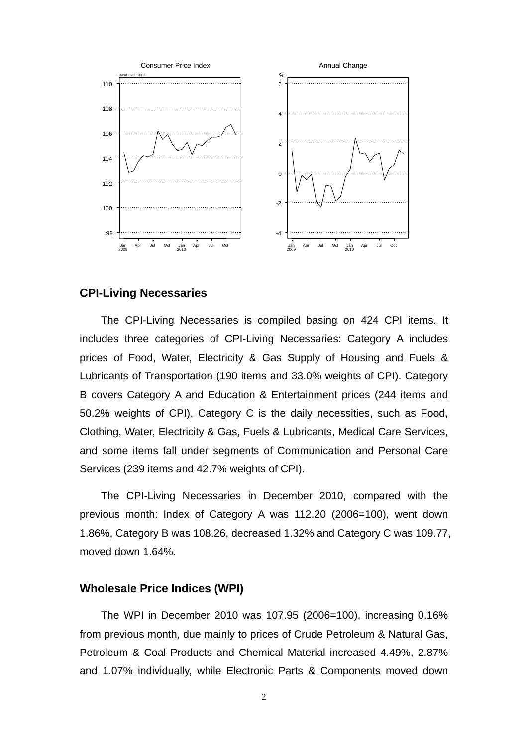

#### **CPI-Living Necessaries**

The CPI-Living Necessaries is compiled basing on 424 CPI items. It includes three categories of CPI-Living Necessaries: Category A includes prices of Food, Water, Electricity & Gas Supply of Housing and Fuels & Lubricants of Transportation (190 items and 33.0% weights of CPI). Category B covers Category A and Education & Entertainment prices (244 items and 50.2% weights of CPI). Category C is the daily necessities, such as Food, Clothing, Water, Electricity & Gas, Fuels & Lubricants, Medical Care Services, and some items fall under segments of Communication and Personal Care Services (239 items and 42.7% weights of CPI).

The CPI-Living Necessaries in December 2010, compared with the previous month: Index of Category A was 112.20 (2006=100), went down 1.86%, Category B was 108.26, decreased 1.32% and Category C was 109.77, moved down 1.64%.

### **Wholesale Price Indices (WPI)**

The WPI in December 2010 was 107.95 (2006=100), increasing 0.16% from previous month, due mainly to prices of Crude Petroleum & Natural Gas, Petroleum & Coal Products and Chemical Material increased 4.49%, 2.87% and 1.07% individually, while Electronic Parts & Components moved down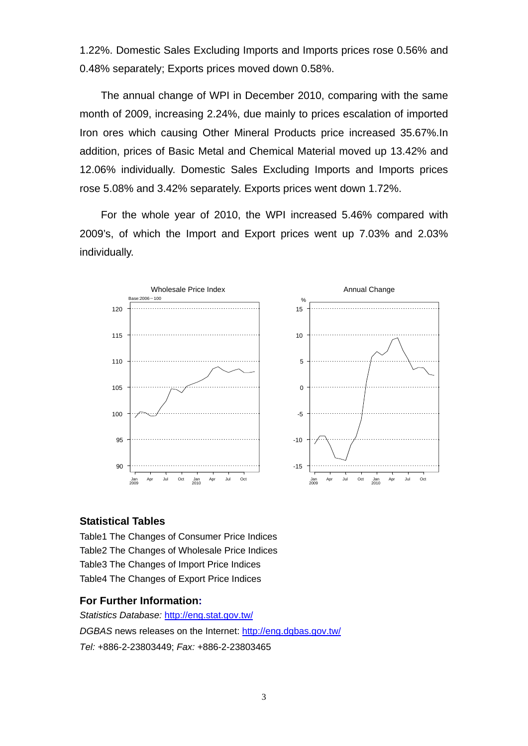1.22%. Domestic Sales Excluding Imports and Imports prices rose 0.56% and 0.48% separately; Exports prices moved down 0.58%.

The annual change of WPI in December 2010, comparing with the same month of 2009, increasing 2.24%, due mainly to prices escalation of imported Iron ores which causing Other Mineral Products price increased 35.67%.In addition, prices of Basic Metal and Chemical Material moved up 13.42% and 12.06% individually. Domestic Sales Excluding Imports and Imports prices rose 5.08% and 3.42% separately. Exports prices went down 1.72%.

For the whole year of 2010, the WPI increased 5.46% compared with 2009's, of which the Import and Export prices went up 7.03% and 2.03% individually.



#### **Statistical Tables**

Table1 The Changes of Consumer Price Indices Table2 The Changes of Wholesale Price Indices Table3 The Changes of Import Price Indices Table4 The Changes of Export Price Indices

#### **For Further Information:**

*Statistics Database:* http://eng.stat.gov.tw/ *DGBAS* news releases on the Internet: http://eng.dgbas.gov.tw/ *Tel:* +886-2-23803449; *Fax:* +886-2-23803465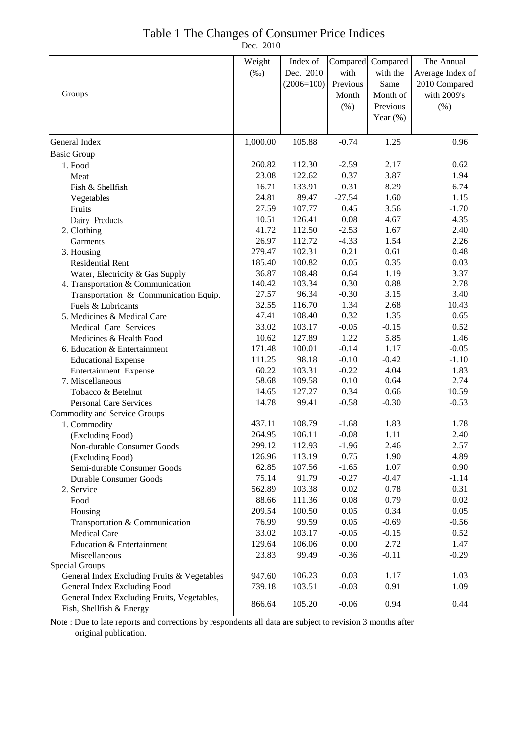### Table 1 The Changes of Consumer Price Indices

Dec. 2010

|                                             | Weight   | Index of     | Compared | Compared    | The Annual       |
|---------------------------------------------|----------|--------------|----------|-------------|------------------|
|                                             | $(\%0)$  | Dec. 2010    | with     | with the    | Average Index of |
|                                             |          | $(2006=100)$ | Previous | Same        | 2010 Compared    |
| Groups                                      |          |              | Month    | Month of    | with 2009's      |
|                                             |          |              | $(\% )$  | Previous    | $(\% )$          |
|                                             |          |              |          | Year $(\%)$ |                  |
|                                             |          |              |          |             |                  |
| General Index                               | 1,000.00 | 105.88       | $-0.74$  | 1.25        | 0.96             |
| <b>Basic Group</b>                          |          |              |          |             |                  |
| 1. Food                                     | 260.82   | 112.30       | $-2.59$  | 2.17        | 0.62             |
| Meat                                        | 23.08    | 122.62       | 0.37     | 3.87        | 1.94             |
| Fish & Shellfish                            | 16.71    | 133.91       | 0.31     | 8.29        | 6.74             |
| Vegetables                                  | 24.81    | 89.47        | $-27.54$ | 1.60        | 1.15             |
| Fruits                                      | 27.59    | 107.77       | 0.45     | 3.56        | $-1.70$          |
| Dairy Products                              | 10.51    | 126.41       | 0.08     | 4.67        | 4.35             |
| 2. Clothing                                 | 41.72    | 112.50       | $-2.53$  | 1.67        | 2.40             |
| Garments                                    | 26.97    | 112.72       | $-4.33$  | 1.54        | 2.26             |
| 3. Housing                                  | 279.47   | 102.31       | 0.21     | 0.61        | 0.48             |
| <b>Residential Rent</b>                     | 185.40   | 100.82       | 0.05     | 0.35        | 0.03             |
| Water, Electricity & Gas Supply             | 36.87    | 108.48       | 0.64     | 1.19        | 3.37             |
| 4. Transportation & Communication           | 140.42   | 103.34       | 0.30     | 0.88        | 2.78             |
| Transportation & Communication Equip.       | 27.57    | 96.34        | $-0.30$  | 3.15        | 3.40             |
| Fuels & Lubricants                          | 32.55    | 116.70       | 1.34     | 2.68        | 10.43            |
| 5. Medicines & Medical Care                 | 47.41    | 108.40       | 0.32     | 1.35        | 0.65             |
| Medical Care Services                       | 33.02    | 103.17       | $-0.05$  | $-0.15$     | 0.52             |
| Medicines & Health Food                     | 10.62    | 127.89       | 1.22     | 5.85        | 1.46             |
| 6. Education & Entertainment                | 171.48   | 100.01       | $-0.14$  | 1.17        | $-0.05$          |
| <b>Educational Expense</b>                  | 111.25   | 98.18        | $-0.10$  | $-0.42$     | $-1.10$          |
| Entertainment Expense                       | 60.22    | 103.31       | $-0.22$  | 4.04        | 1.83             |
| 7. Miscellaneous                            | 58.68    | 109.58       | 0.10     | 0.64        | 2.74             |
| Tobacco & Betelnut                          | 14.65    | 127.27       | 0.34     | 0.66        | 10.59            |
| <b>Personal Care Services</b>               | 14.78    | 99.41        | $-0.58$  | $-0.30$     | $-0.53$          |
| Commodity and Service Groups                |          |              |          |             |                  |
| 1. Commodity                                | 437.11   | 108.79       | $-1.68$  | 1.83        | 1.78             |
| (Excluding Food)                            | 264.95   | 106.11       | $-0.08$  | 1.11        | 2.40             |
| Non-durable Consumer Goods                  | 299.12   | 112.93       | $-1.96$  | 2.46        | 2.57             |
| (Excluding Food)                            | 126.96   | 113.19       | 0.75     | 1.90        | 4.89             |
| Semi-durable Consumer Goods                 | 62.85    | 107.56       | $-1.65$  | 1.07        | 0.90             |
| Durable Consumer Goods                      | 75.14    | 91.79        | $-0.27$  | $-0.47$     | $-1.14$          |
| 2. Service                                  | 562.89   | 103.38       | 0.02     | 0.78        | 0.31             |
| Food                                        | 88.66    | 111.36       | 0.08     | 0.79        | 0.02             |
| Housing                                     | 209.54   | 100.50       | 0.05     | 0.34        | 0.05             |
| Transportation & Communication              | 76.99    | 99.59        | 0.05     | $-0.69$     | $-0.56$          |
| <b>Medical Care</b>                         | 33.02    | 103.17       | $-0.05$  | $-0.15$     | 0.52             |
| Education & Entertainment                   | 129.64   | 106.06       | 0.00     | 2.72        | 1.47             |
| Miscellaneous                               | 23.83    | 99.49        | $-0.36$  | $-0.11$     | $-0.29$          |
| Special Groups                              |          |              |          |             |                  |
| General Index Excluding Fruits & Vegetables | 947.60   | 106.23       | 0.03     | 1.17        | 1.03             |
| General Index Excluding Food                | 739.18   | 103.51       | $-0.03$  | 0.91        | 1.09             |
| General Index Excluding Fruits, Vegetables, |          |              |          |             |                  |
| Fish, Shellfish & Energy                    | 866.64   | 105.20       | $-0.06$  | 0.94        | 0.44             |

Note : Due to late reports and corrections by respondents all data are subject to revision 3 months after original publication.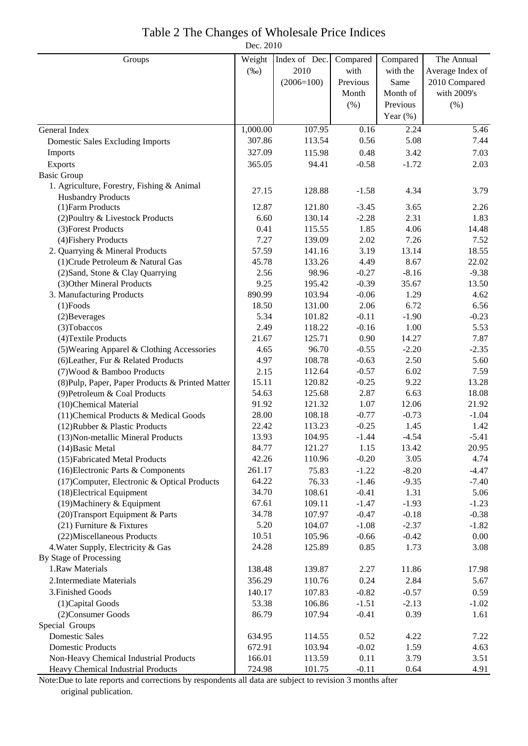Dec. 2010

| Groups                                                                       | Weight           | Index of Dec.    | Compared        | Compared          | The Annual        |
|------------------------------------------------------------------------------|------------------|------------------|-----------------|-------------------|-------------------|
|                                                                              | $(\%0)$          | 2010             | with            | with the          | Average Index of  |
|                                                                              |                  | $(2006=100)$     | Previous        | Same              | 2010 Compared     |
|                                                                              |                  |                  | Month           | Month of          | with 2009's       |
|                                                                              |                  |                  | (% )            | Previous          | $(\% )$           |
|                                                                              |                  |                  |                 | Year $(\%)$       |                   |
| General Index                                                                | 1,000.00         | 107.95           | 0.16            | $\overline{2.24}$ | $\overline{5.46}$ |
| <b>Domestic Sales Excluding Imports</b>                                      | 307.86           | 113.54           | 0.56            | 5.08              | 7.44              |
| Imports                                                                      | 327.09           | 115.98           | 0.48            | 3.42              | 7.03              |
| Exports                                                                      | 365.05           | 94.41            | $-0.58$         | $-1.72$           | 2.03              |
| <b>Basic Group</b>                                                           |                  |                  |                 |                   |                   |
| 1. Agriculture, Forestry, Fishing & Animal                                   |                  |                  |                 |                   |                   |
| <b>Husbandry Products</b>                                                    | 27.15            | 128.88           | $-1.58$         | 4.34              | 3.79              |
| (1) Farm Products                                                            | 12.87            | 121.80           | $-3.45$         | 3.65              | 2.26              |
| (2) Poultry & Livestock Products                                             | 6.60             | 130.14           | $-2.28$         | 2.31              | 1.83              |
| (3) Forest Products                                                          | 0.41             | 115.55           | 1.85            | 4.06              | 14.48             |
| (4) Fishery Products                                                         | 7.27             | 139.09           | 2.02            | 7.26              | 7.52              |
| 2. Quarrying & Mineral Products                                              | 57.59            | 141.16           | 3.19            | 13.14             | 18.55             |
| (1) Crude Petroleum & Natural Gas                                            | 45.78            | 133.26           | 4.49            | 8.67              | 22.02             |
| (2) Sand, Stone & Clay Quarrying                                             | 2.56             | 98.96            | $-0.27$         | $-8.16$           | $-9.38$           |
| (3) Other Mineral Products                                                   | 9.25             | 195.42           | $-0.39$         | 35.67             | 13.50             |
| 3. Manufacturing Products                                                    | 890.99           | 103.94           | $-0.06$         | 1.29              | 4.62              |
| $(1)$ Foods                                                                  | 18.50            | 131.00           | 2.06            | 6.72              | 6.56              |
| (2) Beverages                                                                | 5.34             | 101.82           | $-0.11$         | $-1.90$           | $-0.23$           |
| (3) Tobaccos                                                                 | 2.49             | 118.22           | $-0.16$         | 1.00              | 5.53              |
| (4) Textile Products                                                         | 21.67            | 125.71           | 0.90            | 14.27             | 7.87              |
| (5) Wearing Apparel & Clothing Accessories                                   | 4.65             | 96.70            | $-0.55$         | $-2.20$           | $-2.35$           |
| (6) Leather, Fur & Related Products                                          | 4.97             | 108.78           | $-0.63$         | 2.50              | 5.60              |
| (7) Wood & Bamboo Products                                                   | 2.15             | 112.64           | $-0.57$         | 6.02              | 7.59              |
| (8) Pulp, Paper, Paper Products & Printed Matter                             | 15.11            | 120.82           | $-0.25$         | 9.22              | 13.28             |
| (9) Petroleum & Coal Products                                                | 54.63            | 125.68           | 2.87            | 6.63              | 18.08             |
| (10)Chemical Material                                                        | 91.92            | 121.32           | 1.07            | 12.06             | 21.92             |
| (11) Chemical Products & Medical Goods                                       | 28.00            | 108.18           | $-0.77$         | $-0.73$           | $-1.04$           |
| (12) Rubber & Plastic Products                                               | 22.42            | 113.23           | $-0.25$         | 1.45              | 1.42              |
| (13) Non-metallic Mineral Products                                           | 13.93            | 104.95           | $-1.44$         | $-4.54$           | $-5.41$           |
| (14) Basic Metal                                                             | 84.77            | 121.27           | 1.15            | 13.42             | 20.95             |
| (15) Fabricated Metal Products                                               | 42.26            | 110.96           | $-0.20$         | 3.05              | 4.74              |
| (16) Electronic Parts & Components                                           | 261.17           | 75.83            | $-1.22$         | $-8.20$           | $-4.47$           |
| (17) Computer, Electronic & Optical Products                                 | 64.22            | 76.33            | $-1.46$         | $-9.35$           | $-7.40$           |
| (18) Electrical Equipment                                                    | 34.70            | 108.61           | $-0.41$         | 1.31              | 5.06              |
| (19) Machinery & Equipment                                                   | 67.61            | 109.11           | $-1.47$         | $-1.93$           | $-1.23$           |
| (20) Transport Equipment & Parts                                             | 34.78            | 107.97           | $-0.47$         | $-0.18$           | $-0.38$           |
| $(21)$ Furniture & Fixtures                                                  | 5.20             | 104.07           | $-1.08$         | $-2.37$           | $-1.82$           |
| (22) Miscellaneous Products                                                  | 10.51            | 105.96           | $-0.66$<br>0.85 | $-0.42$           | 0.00              |
| 4. Water Supply, Electricity & Gas<br>By Stage of Processing                 | 24.28            | 125.89           |                 | 1.73              | 3.08              |
| 1.Raw Materials                                                              |                  |                  |                 |                   |                   |
| 2. Intermediate Materials                                                    | 138.48           | 139.87           | 2.27            | 11.86             | 17.98             |
|                                                                              | 356.29           | 110.76           | 0.24            | 2.84              | 5.67              |
| 3. Finished Goods                                                            | 140.17           | 107.83           | $-0.82$         | $-0.57$           | 0.59              |
| (1) Capital Goods                                                            | 53.38            | 106.86           | $-1.51$         | $-2.13$           | $-1.02$           |
| (2) Consumer Goods                                                           | 86.79            | 107.94           | $-0.41$         | 0.39              | 1.61              |
| Special Groups<br><b>Domestic Sales</b>                                      |                  |                  |                 |                   |                   |
|                                                                              | 634.95<br>672.91 | 114.55           | 0.52            | 4.22              | 7.22              |
| <b>Domestic Products</b>                                                     | 166.01           | 103.94           | $-0.02$         | 1.59              | 4.63              |
| Non-Heavy Chemical Industrial Products<br>Heavy Chemical Industrial Products | 724.98           | 113.59<br>101.75 | 0.11<br>$-0.11$ | 3.79<br>0.64      | 3.51<br>4.91      |
|                                                                              |                  |                  |                 |                   |                   |

Note:Due to late reports and corrections by respondents all data are subject to revision 3 months after original publication.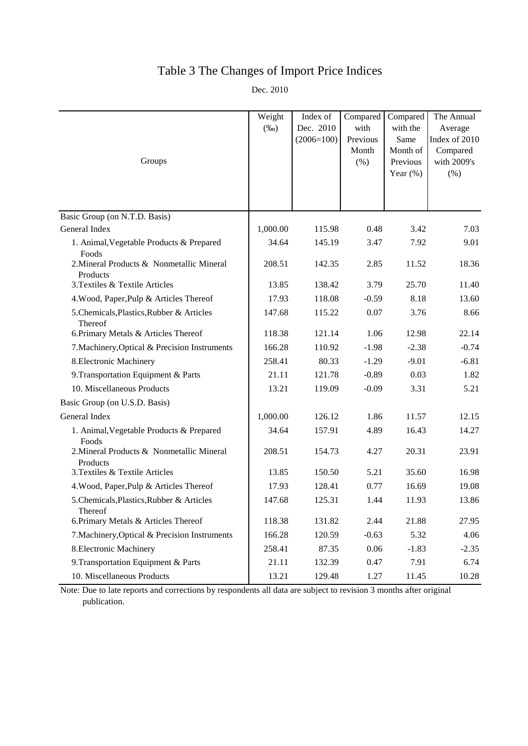## Table 3 The Changes of Import Price Indices

Dec. 2010

| Groups                                                | Weight<br>$(\%0)$ | Index of<br>Dec. 2010<br>$(2006=100)$ | Compared<br>with<br>Previous<br>Month<br>(% ) | Compared<br>with the<br>Same<br>Month of<br>Previous<br>Year $(\% )$ | The Annual<br>Average<br>Index of 2010<br>Compared<br>with 2009's<br>$(\% )$ |
|-------------------------------------------------------|-------------------|---------------------------------------|-----------------------------------------------|----------------------------------------------------------------------|------------------------------------------------------------------------------|
|                                                       |                   |                                       |                                               |                                                                      |                                                                              |
| Basic Group (on N.T.D. Basis)<br>General Index        | 1,000.00          | 115.98                                | 0.48                                          | 3.42                                                                 | 7.03                                                                         |
|                                                       | 34.64             | 145.19                                | 3.47                                          |                                                                      |                                                                              |
| 1. Animal, Vegetable Products & Prepared<br>Foods     |                   |                                       |                                               | 7.92                                                                 | 9.01                                                                         |
| 2. Mineral Products & Nonmetallic Mineral<br>Products | 208.51            | 142.35                                | 2.85                                          | 11.52                                                                | 18.36                                                                        |
| 3. Textiles & Textile Articles                        | 13.85             | 138.42                                | 3.79                                          | 25.70                                                                | 11.40                                                                        |
| 4. Wood, Paper, Pulp & Articles Thereof               | 17.93             | 118.08                                | $-0.59$                                       | 8.18                                                                 | 13.60                                                                        |
| 5. Chemicals, Plastics, Rubber & Articles<br>Thereof  | 147.68            | 115.22                                | 0.07                                          | 3.76                                                                 | 8.66                                                                         |
| 6. Primary Metals & Articles Thereof                  | 118.38            | 121.14                                | 1.06                                          | 12.98                                                                | 22.14                                                                        |
| 7. Machinery, Optical & Precision Instruments         | 166.28            | 110.92                                | $-1.98$                                       | $-2.38$                                                              | $-0.74$                                                                      |
| 8. Electronic Machinery                               | 258.41            | 80.33                                 | $-1.29$                                       | $-9.01$                                                              | $-6.81$                                                                      |
| 9. Transportation Equipment & Parts                   | 21.11             | 121.78                                | $-0.89$                                       | 0.03                                                                 | 1.82                                                                         |
| 10. Miscellaneous Products                            | 13.21             | 119.09                                | $-0.09$                                       | 3.31                                                                 | 5.21                                                                         |
| Basic Group (on U.S.D. Basis)                         |                   |                                       |                                               |                                                                      |                                                                              |
| General Index                                         | 1,000.00          | 126.12                                | 1.86                                          | 11.57                                                                | 12.15                                                                        |
| 1. Animal, Vegetable Products & Prepared<br>Foods     | 34.64             | 157.91                                | 4.89                                          | 16.43                                                                | 14.27                                                                        |
| 2. Mineral Products & Nonmetallic Mineral<br>Products | 208.51            | 154.73                                | 4.27                                          | 20.31                                                                | 23.91                                                                        |
| 3. Textiles & Textile Articles                        | 13.85             | 150.50                                | 5.21                                          | 35.60                                                                | 16.98                                                                        |
| 4. Wood, Paper, Pulp & Articles Thereof               | 17.93             | 128.41                                | 0.77                                          | 16.69                                                                | 19.08                                                                        |
| 5. Chemicals, Plastics, Rubber & Articles<br>Thereof  | 147.68            | 125.31                                | 1.44                                          | 11.93                                                                | 13.86                                                                        |
| 6. Primary Metals & Articles Thereof                  | 118.38            | 131.82                                | 2.44                                          | 21.88                                                                | 27.95                                                                        |
| 7. Machinery, Optical & Precision Instruments         | 166.28            | 120.59                                | $-0.63$                                       | 5.32                                                                 | 4.06                                                                         |
| 8. Electronic Machinery                               | 258.41            | 87.35                                 | 0.06                                          | $-1.83$                                                              | $-2.35$                                                                      |
| 9. Transportation Equipment & Parts                   | 21.11             | 132.39                                | 0.47                                          | 7.91                                                                 | 6.74                                                                         |
| 10. Miscellaneous Products                            | 13.21             | 129.48                                | 1.27                                          | 11.45                                                                | 10.28                                                                        |

Note: Due to late reports and corrections by respondents all data are subject to revision 3 months after original publication.